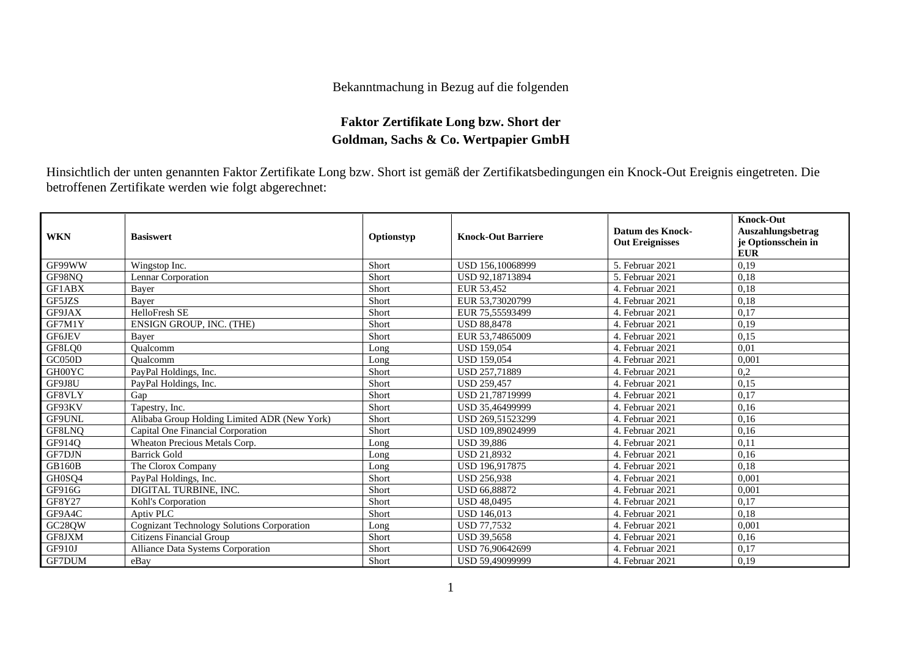## Bekanntmachung in Bezug auf die folgenden

## **Faktor Zertifikate Long bzw. Short der Goldman, Sachs & Co. Wertpapier GmbH**

Hinsichtlich der unten genannten Faktor Zertifikate Long bzw. Short ist gemäß der Zertifikatsbedingungen ein Knock-Out Ereignis eingetreten. Die betroffenen Zertifikate werden wie folgt abgerechnet:

| <b>WKN</b>    | <b>Basiswert</b>                                  | Optionstyp | <b>Knock-Out Barriere</b> | Datum des Knock-<br><b>Out Ereignisses</b> | <b>Knock-Out</b><br>Auszahlungsbetrag<br>je Optionsschein in<br><b>EUR</b> |
|---------------|---------------------------------------------------|------------|---------------------------|--------------------------------------------|----------------------------------------------------------------------------|
| GF99WW        | Wingstop Inc.                                     | Short      | USD 156,10068999          | 5. Februar 2021                            | 0,19                                                                       |
| GF98NQ        | Lennar Corporation                                | Short      | USD 92,18713894           | 5. Februar 2021                            | 0,18                                                                       |
| GF1ABX        | Baver                                             | Short      | EUR 53.452                | 4. Februar 2021                            | 0,18                                                                       |
| GF5JZS        | Baver                                             | Short      | EUR 53,73020799           | 4. Februar 2021                            | 0,18                                                                       |
| GF9JAX        | HelloFresh SE                                     | Short      | EUR 75,55593499           | 4. Februar 2021                            | 0,17                                                                       |
| GF7M1Y        | ENSIGN GROUP, INC. (THE)                          | Short      | <b>USD 88,8478</b>        | 4. Februar 2021                            | 0,19                                                                       |
| <b>GF6JEV</b> | Baver                                             | Short      | EUR 53,74865009           | 4. Februar 2021                            | 0.15                                                                       |
| GF8LQ0        | Oualcomm                                          | Long       | <b>USD 159,054</b>        | 4. Februar 2021                            | 0,01                                                                       |
| GC050D        | Oualcomm                                          | Long       | <b>USD 159.054</b>        | 4. Februar 2021                            | 0,001                                                                      |
| GH00YC        | PayPal Holdings, Inc.                             | Short      | USD 257,71889             | 4. Februar 2021                            | 0,2                                                                        |
| GF9J8U        | PayPal Holdings, Inc.                             | Short      | <b>USD 259.457</b>        | 4. Februar 2021                            | 0,15                                                                       |
| GF8VLY        | Gap                                               | Short      | USD 21,78719999           | 4. Februar 2021                            | 0,17                                                                       |
| GF93KV        | Tapestry, Inc.                                    | Short      | USD 35,46499999           | 4. Februar 2021                            | 0,16                                                                       |
| GF9UNL        | Alibaba Group Holding Limited ADR (New York)      | Short      | USD 269,51523299          | 4. Februar 2021                            | 0,16                                                                       |
| GF8LNQ        | Capital One Financial Corporation                 | Short      | USD 109,89024999          | 4. Februar 2021                            | 0,16                                                                       |
| GF914O        | Wheaton Precious Metals Corp.                     | Long       | <b>USD 39.886</b>         | 4. Februar 2021                            | 0,11                                                                       |
| GF7DJN        | <b>Barrick Gold</b>                               | Long       | <b>USD 21.8932</b>        | 4. Februar 2021                            | 0,16                                                                       |
| <b>GB160B</b> | The Clorox Company                                | Long       | USD 196,917875            | 4. Februar 2021                            | 0,18                                                                       |
| GH0SQ4        | PayPal Holdings, Inc.                             | Short      | <b>USD 256,938</b>        | 4. Februar 2021                            | 0,001                                                                      |
| GF916G        | DIGITAL TURBINE, INC.                             | Short      | <b>USD 66,88872</b>       | 4. Februar 2021                            | 0,001                                                                      |
| GF8Y27        | Kohl's Corporation                                | Short      | <b>USD 48,0495</b>        | 4. Februar 2021                            | 0,17                                                                       |
| GF9A4C        | Aptiv PLC                                         | Short      | <b>USD 146,013</b>        | 4. Februar 2021                            | 0,18                                                                       |
| GC28QW        | <b>Cognizant Technology Solutions Corporation</b> | Long       | USD 77,7532               | 4. Februar 2021                            | 0.001                                                                      |
| GF8JXM        | Citizens Financial Group                          | Short      | <b>USD 39,5658</b>        | 4. Februar 2021                            | 0,16                                                                       |
| GF910J        | <b>Alliance Data Systems Corporation</b>          | Short      | USD 76,90642699           | 4. Februar 2021                            | 0,17                                                                       |
| <b>GF7DUM</b> | eBay                                              | Short      | USD 59,49099999           | 4. Februar 2021                            | 0,19                                                                       |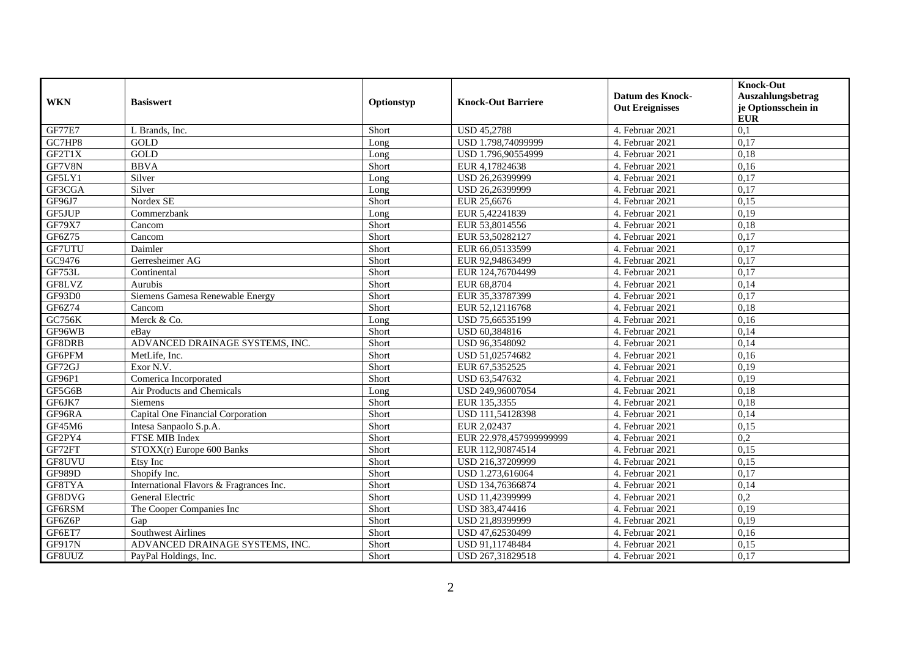| <b>WKN</b>    | <b>Basiswert</b>                        | Optionstyp | <b>Knock-Out Barriere</b> | <b>Datum des Knock-</b><br><b>Out Ereignisses</b> | <b>Knock-Out</b><br>Auszahlungsbetrag<br>je Optionsschein in |
|---------------|-----------------------------------------|------------|---------------------------|---------------------------------------------------|--------------------------------------------------------------|
|               |                                         |            |                           |                                                   | <b>EUR</b>                                                   |
| <b>GF77E7</b> | L Brands, Inc.                          | Short      | <b>USD 45,2788</b>        | 4. Februar 2021                                   | 0,1                                                          |
| GC7HP8        | GOLD                                    | Long       | USD 1.798,74099999        | 4. Februar 2021                                   | 0,17                                                         |
| GF2T1X        | GOLD                                    | Long       | USD 1.796,90554999        | 4. Februar 2021                                   | 0,18                                                         |
| GF7V8N        | <b>BBVA</b>                             | Short      | EUR 4,17824638            | 4. Februar 2021                                   | 0,16                                                         |
| GF5LY1        | Silver                                  | Long       | USD 26,26399999           | 4. Februar 2021                                   | 0,17                                                         |
| GF3CGA        | Silver                                  | Long       | USD 26,26399999           | 4. Februar 2021                                   | 0,17                                                         |
| GF96J7        | Nordex SE                               | Short      | EUR 25,6676               | 4. Februar 2021                                   | 0,15                                                         |
| GF5JUP        | Commerzbank                             | Long       | EUR 5,42241839            | 4. Februar 2021                                   | 0,19                                                         |
| <b>GF79X7</b> | Cancom                                  | Short      | EUR 53,8014556            | 4. Februar 2021                                   | 0,18                                                         |
| GF6Z75        | Cancom                                  | Short      | EUR 53,50282127           | 4. Februar 2021                                   | 0,17                                                         |
| GF7UTU        | Daimler                                 | Short      | EUR 66,05133599           | 4. Februar 2021                                   | 0,17                                                         |
| GC9476        | Gerresheimer AG                         | Short      | EUR 92,94863499           | 4. Februar 2021                                   | 0,17                                                         |
| GF753L        | Continental                             | Short      | EUR 124,76704499          | 4. Februar 2021                                   | 0,17                                                         |
| GF8LVZ        | Aurubis                                 | Short      | EUR 68,8704               | 4. Februar 2021                                   | 0,14                                                         |
| GF93D0        | Siemens Gamesa Renewable Energy         | Short      | EUR 35,33787399           | 4. Februar 2021                                   | 0,17                                                         |
| GF6Z74        | Cancom                                  | Short      | EUR 52,12116768           | 4. Februar 2021                                   | 0,18                                                         |
| <b>GC756K</b> | Merck & Co.                             | Long       | USD 75.66535199           | 4. Februar 2021                                   | 0,16                                                         |
| GF96WB        | eBav                                    | Short      | USD 60,384816             | 4. Februar 2021                                   | 0,14                                                         |
| GF8DRB        | ADVANCED DRAINAGE SYSTEMS, INC.         | Short      | USD 96,3548092            | 4. Februar 2021                                   | 0,14                                                         |
| GF6PFM        | MetLife, Inc.                           | Short      | USD 51,02574682           | 4. Februar 2021                                   | 0,16                                                         |
| GF72GJ        | Exor N.V.                               | Short      | EUR 67,5352525            | 4. Februar 2021                                   | 0,19                                                         |
| GF96P1        | Comerica Incorporated                   | Short      | USD 63,547632             | 4. Februar 2021                                   | 0,19                                                         |
| GF5G6B        | Air Products and Chemicals              | Long       | USD 249,96007054          | 4. Februar 2021                                   | 0,18                                                         |
| GF6JK7        | <b>Siemens</b>                          | Short      | EUR 135,3355              | 4. Februar 2021                                   | 0.18                                                         |
| GF96RA        | Capital One Financial Corporation       | Short      | USD 111,54128398          | 4. Februar 2021                                   | 0,14                                                         |
| GF45M6        | Intesa Sanpaolo S.p.A.                  | Short      | EUR 2,02437               | 4. Februar 2021                                   | 0,15                                                         |
| GF2PY4        | FTSE MIB Index                          | Short      | EUR 22.978,457999999999   | 4. Februar 2021                                   | $\overline{0.2}$                                             |
| GF72FT        | STOXX(r) Europe 600 Banks               | Short      | EUR 112,90874514          | 4. Februar 2021                                   | 0,15                                                         |
| GF8UVU        | Etsy Inc                                | Short      | USD 216,37209999          | 4. Februar 2021                                   | 0,15                                                         |
| <b>GF989D</b> | Shopify Inc.                            | Short      | USD 1.273,616064          | 4. Februar 2021                                   | 0,17                                                         |
| GF8TYA        | International Flavors & Fragrances Inc. | Short      | USD 134,76366874          | 4. Februar 2021                                   | 0,14                                                         |
| GF8DVG        | General Electric                        | Short      | USD 11,42399999           | 4. Februar 2021                                   | 0,2                                                          |
| GF6RSM        | The Cooper Companies Inc                | Short      | USD 383,474416            | 4. Februar 2021                                   | 0,19                                                         |
| GF6Z6P        | Gap                                     | Short      | USD 21,89399999           | 4. Februar 2021                                   | 0,19                                                         |
| GF6ET7        | <b>Southwest Airlines</b>               | Short      | USD 47,62530499           | 4. Februar 2021                                   | 0,16                                                         |
| GF917N        | ADVANCED DRAINAGE SYSTEMS, INC.         | Short      | USD 91,11748484           | 4. Februar 2021                                   | 0,15                                                         |
| GF8UUZ        | PayPal Holdings, Inc.                   | Short      | USD 267,31829518          | 4. Februar 2021                                   | 0,17                                                         |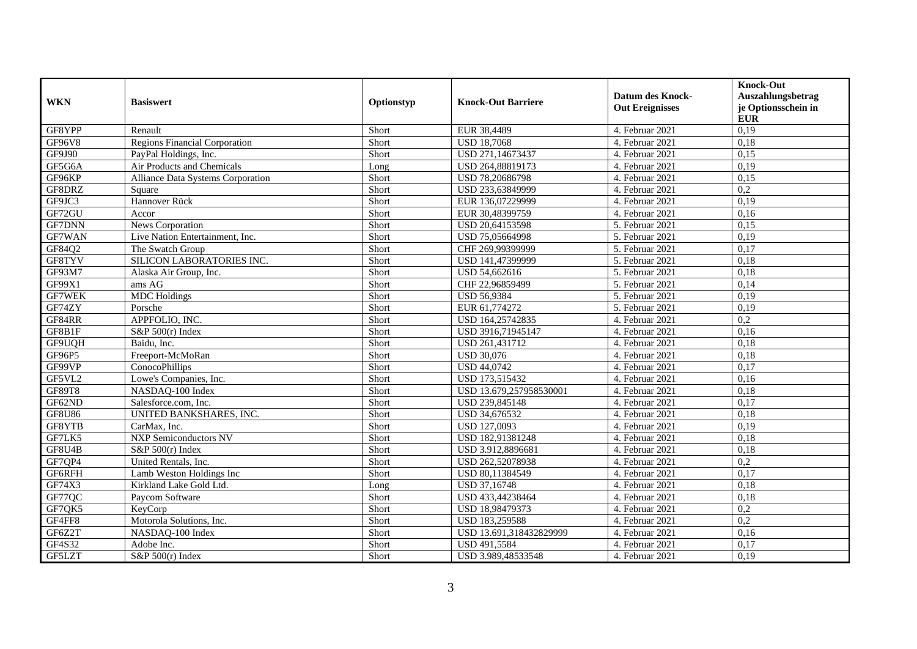| <b>WKN</b>    | <b>Basiswert</b>                         | Optionstyp | <b>Knock-Out Barriere</b> | <b>Datum des Knock-</b><br><b>Out Ereignisses</b> | <b>Knock-Out</b><br>Auszahlungsbetrag<br>je Optionsschein in<br><b>EUR</b> |
|---------------|------------------------------------------|------------|---------------------------|---------------------------------------------------|----------------------------------------------------------------------------|
| GF8YPP        | Renault                                  | Short      | EUR 38,4489               | 4. Februar 2021                                   | 0,19                                                                       |
| <b>GF96V8</b> | <b>Regions Financial Corporation</b>     | Short      | <b>USD 18,7068</b>        | 4. Februar 2021                                   | 0,18                                                                       |
| GF9J90        | PayPal Holdings, Inc.                    | Short      | USD 271,14673437          | 4. Februar 2021                                   | 0,15                                                                       |
| GF5G6A        | Air Products and Chemicals               | Long       | USD 264,88819173          | 4. Februar 2021                                   | 0,19                                                                       |
| GF96KP        | <b>Alliance Data Systems Corporation</b> | Short      | USD 78,20686798           | 4. Februar 2021                                   | 0.15                                                                       |
| GF8DRZ        | Square                                   | Short      | USD 233,63849999          | 4. Februar 2021                                   | 0,2                                                                        |
| GF9JC3        | Hannover Rück                            | Short      | EUR 136,07229999          | 4. Februar 2021                                   | 0,19                                                                       |
| GF72GU        | Accor                                    | Short      | EUR 30,48399759           | 4. Februar 2021                                   | 0,16                                                                       |
| <b>GF7DNN</b> | News Corporation                         | Short      | USD 20,64153598           | 5. Februar 2021                                   | 0,15                                                                       |
| GF7WAN        | Live Nation Entertainment, Inc.          | Short      | USD 75,05664998           | 5. Februar 2021                                   | 0,19                                                                       |
| GF84Q2        | The Swatch Group                         | Short      | CHF 269,99399999          | 5. Februar 2021                                   | 0,17                                                                       |
| GF8TYV        | SILICON LABORATORIES INC.                | Short      | USD 141,47399999          | 5. Februar 2021                                   | 0,18                                                                       |
| GF93M7        | Alaska Air Group, Inc.                   | Short      | USD 54,662616             | 5. Februar 2021                                   | 0,18                                                                       |
| GF99X1        | ams AG                                   | Short      | CHF 22,96859499           | 5. Februar 2021                                   | 0,14                                                                       |
| GF7WEK        | <b>MDC</b> Holdings                      | Short      | <b>USD 56,9384</b>        | 5. Februar 2021                                   | 0,19                                                                       |
| GF74ZY        | Porsche                                  | Short      | EUR 61,774272             | 5. Februar 2021                                   | 0,19                                                                       |
| GF84RR        | APPFOLIO, INC.                           | Short      | USD 164,25742835          | 4. Februar 2021                                   | 0,2                                                                        |
| GF8B1F        | S&P $500(r)$ Index                       | Short      | USD 3916,71945147         | 4. Februar 2021                                   | 0,16                                                                       |
| GF9UQH        | Baidu. Inc.                              | Short      | USD 261,431712            | 4. Februar 2021                                   | 0,18                                                                       |
| GF96P5        | Freeport-McMoRan                         | Short      | <b>USD 30,076</b>         | 4. Februar 2021                                   | 0,18                                                                       |
| GF99VP        | <b>ConocoPhillips</b>                    | Short      | <b>USD 44,0742</b>        | 4. Februar 2021                                   | 0,17                                                                       |
| GF5VL2        | Lowe's Companies, Inc.                   | Short      | USD 173,515432            | 4. Februar 2021                                   | 0,16                                                                       |
| GF89T8        | NASDAQ-100 Index                         | Short      | USD 13.679,257958530001   | 4. Februar 2021                                   | 0,18                                                                       |
| GF62ND        | Salesforce.com. Inc.                     | Short      | USD 239,845148            | 4. Februar 2021                                   | 0,17                                                                       |
| <b>GF8U86</b> | UNITED BANKSHARES, INC.                  | Short      | USD 34,676532             | 4. Februar 2021                                   | 0,18                                                                       |
| GF8YTB        | CarMax, Inc.                             | Short      | USD 127,0093              | 4. Februar 2021                                   | 0,19                                                                       |
| GF7LK5        | <b>NXP Semiconductors NV</b>             | Short      | USD 182,91381248          | 4. Februar 2021                                   | 0,18                                                                       |
| GF8U4B        | S&P $500(r)$ Index                       | Short      | USD 3.912,8896681         | 4. Februar 2021                                   | 0,18                                                                       |
| GF7QP4        | United Rentals, Inc.                     | Short      | USD 262,52078938          | 4. Februar 2021                                   | 0,2                                                                        |
| GF6RFH        | Lamb Weston Holdings Inc                 | Short      | USD 80,11384549           | 4. Februar 2021                                   | 0,17                                                                       |
| GF74X3        | Kirkland Lake Gold Ltd.                  | Long       | USD 37,16748              | 4. Februar 2021                                   | 0,18                                                                       |
| GF77QC        | Paycom Software                          | Short      | USD 433,44238464          | 4. Februar 2021                                   | 0,18                                                                       |
| GF7QK5        | KeyCorp                                  | Short      | USD 18,98479373           | 4. Februar 2021                                   | 0,2                                                                        |
| GF4FF8        | Motorola Solutions, Inc.                 | Short      | USD 183,259588            | 4. Februar 2021                                   | 0,2                                                                        |
| GF6Z2T        | NASDAQ-100 Index                         | Short      | USD 13.691,318432829999   | 4. Februar 2021                                   | 0,16                                                                       |
| GF4S32        | Adobe Inc.                               | Short      | USD 491,5584              | 4. Februar 2021                                   | 0,17                                                                       |
| GF5LZT        | $S&P 500(r)$ Index                       | Short      | USD 3.989,48533548        | 4. Februar 2021                                   | 0,19                                                                       |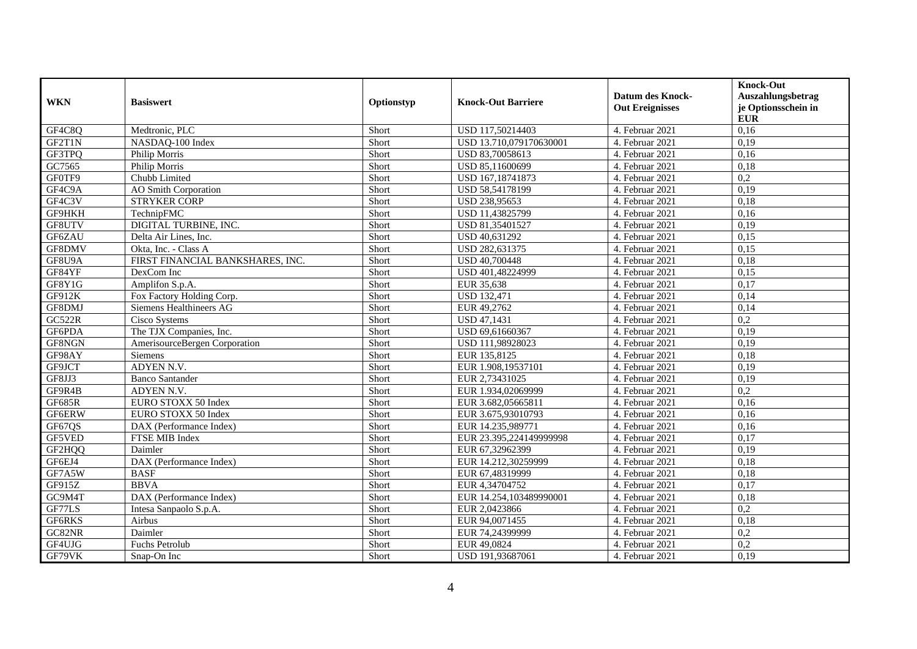| <b>WKN</b>    | <b>Basiswert</b>                 | Optionstyp | <b>Knock-Out Barriere</b> | <b>Datum des Knock-</b><br><b>Out Ereignisses</b> | <b>Knock-Out</b><br>Auszahlungsbetrag<br>je Optionsschein in<br><b>EUR</b> |
|---------------|----------------------------------|------------|---------------------------|---------------------------------------------------|----------------------------------------------------------------------------|
| GF4C8Q        | Medtronic, PLC                   | Short      | USD 117,50214403          | 4. Februar 2021                                   | 0,16                                                                       |
| GF2T1N        | NASDAO-100 Index                 | Short      | USD 13.710.079170630001   | 4. Februar 2021                                   | 0.19                                                                       |
| GF3TPQ        | Philip Morris                    | Short      | USD 83,70058613           | 4. Februar 2021                                   | 0,16                                                                       |
| GC7565        | Philip Morris                    | Short      | USD 85,11600699           | 4. Februar 2021                                   | 0,18                                                                       |
| GF0TF9        | Chubb Limited                    | Short      | USD 167,18741873          | 4. Februar 2021                                   | $\overline{0.2}$                                                           |
| GF4C9A        | <b>AO</b> Smith Corporation      | Short      | USD 58,54178199           | 4. Februar 2021                                   | 0,19                                                                       |
| GF4C3V        | <b>STRYKER CORP</b>              | Short      | USD 238,95653             | 4. Februar 2021                                   | 0,18                                                                       |
| GF9HKH        | TechnipFMC                       | Short      | USD 11,43825799           | 4. Februar 2021                                   | 0,16                                                                       |
| GF8UTV        | DIGITAL TURBINE, INC.            | Short      | USD 81,35401527           | 4. Februar 2021                                   | 0,19                                                                       |
| GF6ZAU        | Delta Air Lines, Inc.            | Short      | USD 40,631292             | 4. Februar 2021                                   | 0,15                                                                       |
| GF8DMV        | Okta, Inc. - Class A             | Short      | USD 282,631375            | 4. Februar 2021                                   | 0,15                                                                       |
| GF8U9A        | FIRST FINANCIAL BANKSHARES, INC. | Short      | <b>USD 40,700448</b>      | 4. Februar 2021                                   | 0,18                                                                       |
| GF84YF        | DexCom Inc                       | Short      | USD 401,48224999          | 4. Februar 2021                                   | 0,15                                                                       |
| GF8Y1G        | Amplifon S.p.A.                  | Short      | EUR 35,638                | 4. Februar $2021$                                 | 0,17                                                                       |
| GF912K        | Fox Factory Holding Corp.        | Short      | <b>USD 132,471</b>        | 4. Februar 2021                                   | 0,14                                                                       |
| GF8DMJ        | <b>Siemens Healthineers AG</b>   | Short      | EUR 49,2762               | 4. Februar 2021                                   | 0,14                                                                       |
| <b>GC522R</b> | Cisco Systems                    | Short      | <b>USD 47,1431</b>        | 4. Februar 2021                                   | 0,2                                                                        |
| GF6PDA        | The TJX Companies, Inc.          | Short      | USD 69,61660367           | 4. Februar 2021                                   | 0,19                                                                       |
| GF8NGN        | AmerisourceBergen Corporation    | Short      | USD 111,98928023          | 4. Februar 2021                                   | 0,19                                                                       |
| GF98AY        | Siemens                          | Short      | EUR 135,8125              | 4. Februar 2021                                   | 0,18                                                                       |
| GF9JCT        | ADYEN N.V.                       | Short      | EUR 1.908,19537101        | 4. Februar 2021                                   | 0,19                                                                       |
| GF8JJ3        | <b>Banco Santander</b>           | Short      | EUR 2,73431025            | 4. Februar 2021                                   | 0,19                                                                       |
| GF9R4B        | ADYEN N.V.                       | Short      | EUR 1.934,02069999        | 4. Februar 2021                                   | $\overline{0.2}$                                                           |
| <b>GF685R</b> | EURO STOXX 50 Index              | Short      | EUR 3.682,05665811        | 4. Februar 2021                                   | 0,16                                                                       |
| GF6ERW        | EURO STOXX 50 Index              | Short      | EUR 3.675,93010793        | 4. Februar 2021                                   | 0,16                                                                       |
| GF67QS        | DAX (Performance Index)          | Short      | EUR 14.235,989771         | 4. Februar $2021$                                 | 0,16                                                                       |
| GF5VED        | FTSE MIB Index                   | Short      | EUR 23.395,224149999998   | 4. Februar 2021                                   | 0,17                                                                       |
| GF2HQQ        | Daimler                          | Short      | EUR 67,32962399           | 4. Februar 2021                                   | 0,19                                                                       |
| GF6EJ4        | DAX (Performance Index)          | Short      | EUR 14.212,30259999       | 4. Februar 2021                                   | 0,18                                                                       |
| GF7A5W        | <b>BASF</b>                      | Short      | EUR 67,48319999           | 4. Februar 2021                                   | 0,18                                                                       |
| GF915Z        | <b>BBVA</b>                      | Short      | EUR 4,34704752            | 4. Februar 2021                                   | 0,17                                                                       |
| GC9M4T        | DAX (Performance Index)          | Short      | EUR 14.254,103489990001   | 4. Februar 2021                                   | 0,18                                                                       |
| GF77LS        | Intesa Sanpaolo S.p.A.           | Short      | EUR 2,0423866             | 4. Februar 2021                                   | $\overline{0.2}$                                                           |
| GF6RKS        | Airbus                           | Short      | EUR 94,0071455            | 4. Februar 2021                                   | 0,18                                                                       |
| GC82NR        | Daimler                          | Short      | EUR 74,24399999           | 4. Februar 2021                                   | 0,2                                                                        |
| GF4UJG        | Fuchs Petrolub                   | Short      | EUR 49,0824               | 4. Februar 2021                                   | 0,2                                                                        |
| GF79VK        | Snap-On Inc                      | Short      | USD 191,93687061          | 4. Februar 2021                                   | 0,19                                                                       |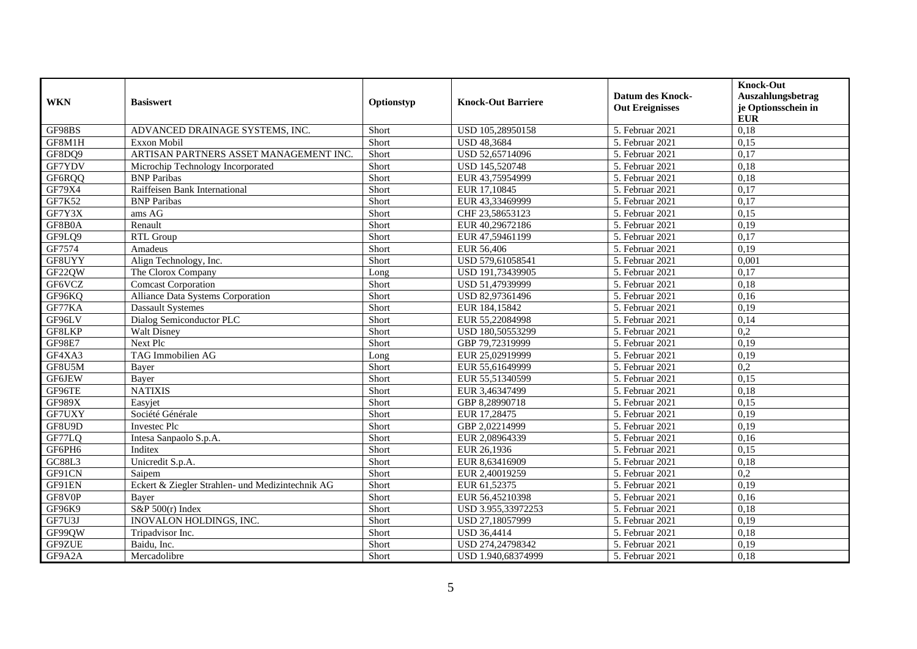| <b>WKN</b>    | <b>Basiswert</b>                                 | Optionstyp | <b>Knock-Out Barriere</b> | <b>Datum des Knock-</b><br><b>Out Ereignisses</b> | <b>Knock-Out</b><br>Auszahlungsbetrag<br>je Optionsschein in<br><b>EUR</b> |
|---------------|--------------------------------------------------|------------|---------------------------|---------------------------------------------------|----------------------------------------------------------------------------|
| GF98BS        | ADVANCED DRAINAGE SYSTEMS, INC.                  | Short      | USD 105,28950158          | 5. Februar 2021                                   | 0,18                                                                       |
| GF8M1H        | Exxon Mobil                                      | Short      | <b>USD 48,3684</b>        | 5. Februar $2021$                                 | 0,15                                                                       |
| GF8DQ9        | ARTISAN PARTNERS ASSET MANAGEMENT INC.           | Short      | USD 52,65714096           | 5. Februar 2021                                   | 0,17                                                                       |
| GF7YDV        | Microchip Technology Incorporated                | Short      | USD 145,520748            | 5. Februar 2021                                   | 0,18                                                                       |
| GF6RQQ        | <b>BNP</b> Paribas                               | Short      | EUR 43,75954999           | 5. Februar 2021                                   | 0,18                                                                       |
| GF79X4        | Raiffeisen Bank International                    | Short      | EUR 17,10845              | 5. Februar 2021                                   | 0,17                                                                       |
| GF7K52        | <b>BNP</b> Paribas                               | Short      | EUR 43,33469999           | 5. Februar 2021                                   | 0,17                                                                       |
| GF7Y3X        | ams AG                                           | Short      | CHF 23,58653123           | 5. Februar 2021                                   | 0,15                                                                       |
| GF8B0A        | Renault                                          | Short      | EUR 40,29672186           | 5. Februar 2021                                   | 0,19                                                                       |
| GF9LQ9        | <b>RTL Group</b>                                 | Short      | EUR 47,59461199           | 5. Februar 2021                                   | 0,17                                                                       |
| GF7574        | Amadeus                                          | Short      | EUR 56,406                | 5. Februar 2021                                   | 0,19                                                                       |
| GF8UYY        | Align Technology, Inc.                           | Short      | USD 579,61058541          | 5. Februar 2021                                   | 0,001                                                                      |
| GF22QW        | The Clorox Company                               | Long       | USD 191,73439905          | 5. Februar 2021                                   | 0,17                                                                       |
| GF6VCZ        | <b>Comcast Corporation</b>                       | Short      | USD 51,47939999           | 5. Februar $2021$                                 | 0,18                                                                       |
| GF96KQ        | Alliance Data Systems Corporation                | Short      | USD 82,97361496           | 5. Februar $2021$                                 | 0,16                                                                       |
| GF77KA        | <b>Dassault Systemes</b>                         | Short      | EUR 184,15842             | 5. Februar 2021                                   | 0,19                                                                       |
| GF96LV        | Dialog Semiconductor PLC                         | Short      | EUR 55,22084998           | 5. Februar 2021                                   | 0.14                                                                       |
| GF8LKP        | <b>Walt Disney</b>                               | Short      | USD 180,50553299          | 5. Februar 2021                                   | 0,2                                                                        |
| <b>GF98E7</b> | Next Plc                                         | Short      | GBP 79,72319999           | 5. Februar 2021                                   | 0,19                                                                       |
| GF4XA3        | TAG Immobilien AG                                | Long       | EUR 25,02919999           | 5. Februar 2021                                   | 0,19                                                                       |
| GF8U5M        | Bayer                                            | Short      | EUR 55,61649999           | 5. Februar 2021                                   | 0,2                                                                        |
| <b>GF6JEW</b> | Bayer                                            | Short      | EUR 55,51340599           | 5. Februar 2021                                   | 0,15                                                                       |
| GF96TE        | <b>NATIXIS</b>                                   | Short      | EUR 3,46347499            | 5. Februar 2021                                   | 0,18                                                                       |
| GF989X        | Easyjet                                          | Short      | GBP 8,28990718            | 5. Februar 2021                                   | 0.15                                                                       |
| GF7UXY        | Société Générale                                 | Short      | EUR 17,28475              | 5. Februar 2021                                   | 0,19                                                                       |
| GF8U9D        | Investec Plc                                     | Short      | GBP 2,02214999            | 5. Februar 2021                                   | 0,19                                                                       |
| GF77LQ        | Intesa Sanpaolo S.p.A.                           | Short      | EUR 2,08964339            | 5. Februar 2021                                   | 0,16                                                                       |
| GF6PH6        | Inditex                                          | Short      | EUR 26,1936               | 5. Februar 2021                                   | 0,15                                                                       |
| GC88L3        | Unicredit S.p.A.                                 | Short      | EUR 8,63416909            | 5. Februar 2021                                   | 0,18                                                                       |
| GF91CN        | Saipem                                           | Short      | EUR 2,40019259            | 5. Februar 2021                                   | 0,2                                                                        |
| GF91EN        | Eckert & Ziegler Strahlen- und Medizintechnik AG | Short      | EUR 61,52375              | 5. Februar 2021                                   | 0,19                                                                       |
| GF8V0P        | Baver                                            | Short      | EUR 56,45210398           | 5. Februar 2021                                   | 0,16                                                                       |
| GF96K9        | S&P $500(r)$ Index                               | Short      | USD 3.955.33972253        | 5. Februar 2021                                   | 0,18                                                                       |
| GF7U3J        | INOVALON HOLDINGS, INC.                          | Short      | USD 27,18057999           | 5. Februar 2021                                   | 0,19                                                                       |
| GF99QW        | Tripadvisor Inc.                                 | Short      | <b>USD 36,4414</b>        | 5. Februar 2021                                   | 0,18                                                                       |
| GF9ZUE        | Baidu, Inc.                                      | Short      | USD 274,24798342          | 5. Februar 2021                                   | 0,19                                                                       |
| GF9A2A        | Mercadolibre                                     | Short      | USD 1.940,68374999        | 5. Februar 2021                                   | 0,18                                                                       |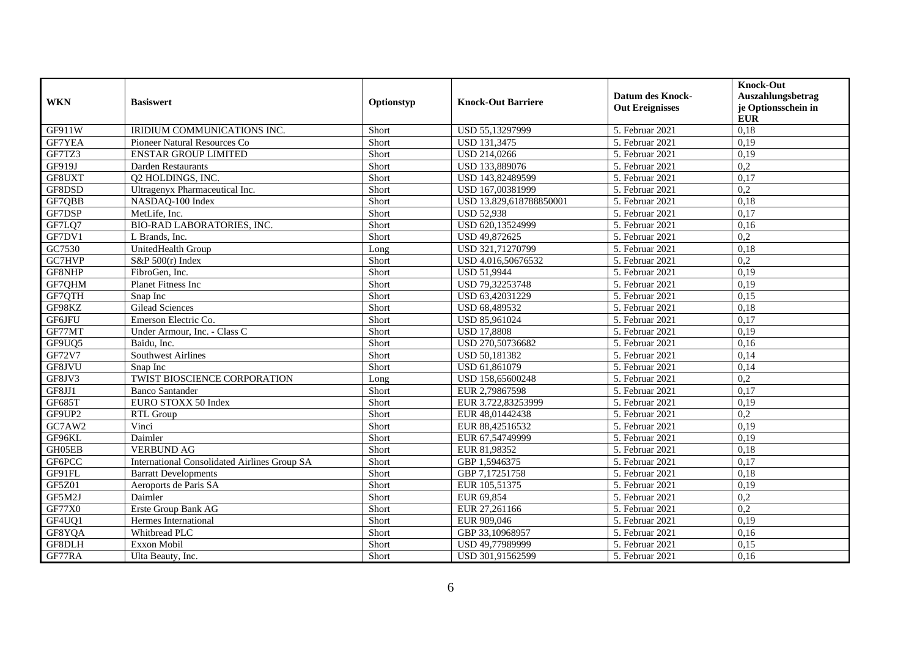| <b>WKN</b> | <b>Basiswert</b>                             | Optionstyp | <b>Knock-Out Barriere</b> | <b>Datum des Knock-</b><br><b>Out Ereignisses</b> | <b>Knock-Out</b><br>Auszahlungsbetrag<br>je Optionsschein in<br><b>EUR</b> |
|------------|----------------------------------------------|------------|---------------------------|---------------------------------------------------|----------------------------------------------------------------------------|
| GF911W     | IRIDIUM COMMUNICATIONS INC.                  | Short      | USD 55,13297999           | 5. Februar 2021                                   | 0,18                                                                       |
| GF7YEA     | Pioneer Natural Resources Co                 | Short      | <b>USD 131,3475</b>       | 5. Februar 2021                                   | 0,19                                                                       |
| GF7TZ3     | <b>ENSTAR GROUP LIMITED</b>                  | Short      | USD 214,0266              | 5. Februar 2021                                   | 0,19                                                                       |
| GF919J     | Darden Restaurants                           | Short      | USD 133,889076            | 5. Februar $2021$                                 | $\overline{0.2}$                                                           |
| GF8UXT     | 02 HOLDINGS, INC.                            | Short      | USD 143,82489599          | 5. Februar 2021                                   | 0,17                                                                       |
| GF8DSD     | Ultragenyx Pharmaceutical Inc.               | Short      | USD 167,00381999          | 5. Februar 2021                                   | 0,2                                                                        |
| GF7QBB     | NASDAQ-100 Index                             | Short      | USD 13.829,618788850001   | 5. Februar 2021                                   | 0,18                                                                       |
| GF7DSP     | MetLife, Inc.                                | Short      | <b>USD 52,938</b>         | 5. Februar 2021                                   | 0,17                                                                       |
| GF7LQ7     | BIO-RAD LABORATORIES, INC.                   | Short      | USD 620,13524999          | 5. Februar 2021                                   | 0,16                                                                       |
| GF7DV1     | L Brands, Inc.                               | Short      | USD 49,872625             | 5. Februar 2021                                   | 0,2                                                                        |
| GC7530     | UnitedHealth Group                           | Long       | USD 321,71270799          | 5. Februar 2021                                   | 0.18                                                                       |
| GC7HVP     | S&P $500(r)$ Index                           | Short      | USD 4.016,50676532        | 5. Februar 2021                                   | $\overline{0.2}$                                                           |
| GF8NHP     | FibroGen, Inc.                               | Short      | <b>USD 51,9944</b>        | 5. Februar 2021                                   | 0,19                                                                       |
| GF7QHM     | Planet Fitness Inc                           | Short      | USD 79,32253748           | 5. Februar 2021                                   | 0,19                                                                       |
| GF7QTH     | Snap Inc                                     | Short      | USD 63,42031229           | 5. Februar 2021                                   | 0,15                                                                       |
| GF98KZ     | <b>Gilead Sciences</b>                       | Short      | USD 68,489532             | 5. Februar 2021                                   | 0,18                                                                       |
| GF6JFU     | Emerson Electric Co.                         | Short      | USD 85,961024             | 5. Februar 2021                                   | 0.17                                                                       |
| GF77MT     | Under Armour, Inc. - Class C                 | Short      | <b>USD 17,8808</b>        | 5. Februar 2021                                   | 0,19                                                                       |
| GF9UQ5     | Baidu, Inc.                                  | Short      | USD 270,50736682          | 5. Februar 2021                                   | 0,16                                                                       |
| GF72V7     | Southwest Airlines                           | Short      | USD 50,181382             | 5. Februar 2021                                   | 0,14                                                                       |
| GF8JVU     | Snap Inc                                     | Short      | USD 61,861079             | 5. Februar 2021                                   | 0,14                                                                       |
| GF8JV3     | TWIST BIOSCIENCE CORPORATION                 | Long       | USD 158,65600248          | 5. Februar 2021                                   | $\overline{0,2}$                                                           |
| GF8JJ1     | <b>Banco Santander</b>                       | Short      | EUR 2,79867598            | 5. Februar 2021                                   | 0,17                                                                       |
| GF685T     | EURO STOXX 50 Index                          | Short      | EUR 3.722,83253999        | 5. Februar 2021                                   | 0.19                                                                       |
| GF9UP2     | RTL Group                                    | Short      | EUR 48,01442438           | 5. Februar 2021                                   | 0,2                                                                        |
| GC7AW2     | Vinci                                        | Short      | EUR 88,42516532           | 5. Februar 2021                                   | 0,19                                                                       |
| GF96KL     | Daimler                                      | Short      | EUR 67,54749999           | 5. Februar 2021                                   | 0,19                                                                       |
| GH05EB     | <b>VERBUND AG</b>                            | Short      | EUR 81,98352              | 5. Februar 2021                                   | 0,18                                                                       |
| GF6PCC     | International Consolidated Airlines Group SA | Short      | GBP 1,5946375             | 5. Februar 2021                                   | 0,17                                                                       |
| GF91FL     | <b>Barratt Developments</b>                  | Short      | GBP 7,17251758            | 5. Februar 2021                                   | 0,18                                                                       |
| GF5Z01     | Aeroports de Paris SA                        | Short      | EUR 105,51375             | 5. Februar 2021                                   | 0,19                                                                       |
| GF5M2J     | Daimler                                      | Short      | EUR 69,854                | 5. Februar 2021                                   | $\overline{0.2}$                                                           |
| GF77X0     | Erste Group Bank AG                          | Short      | EUR 27,261166             | 5. Februar 2021                                   | 0,2                                                                        |
| GF4UQ1     | Hermes International                         | Short      | EUR 909,046               | 5. Februar 2021                                   | 0,19                                                                       |
| GF8YQA     | Whitbread PLC                                | Short      | GBP 33,10968957           | 5. Februar 2021                                   | 0,16                                                                       |
| GF8DLH     | Exxon Mobil                                  | Short      | USD 49,77989999           | 5. Februar 2021                                   | 0,15                                                                       |
| GF77RA     | Ulta Beauty, Inc.                            | Short      | USD 301,91562599          | 5. Februar 2021                                   | 0,16                                                                       |